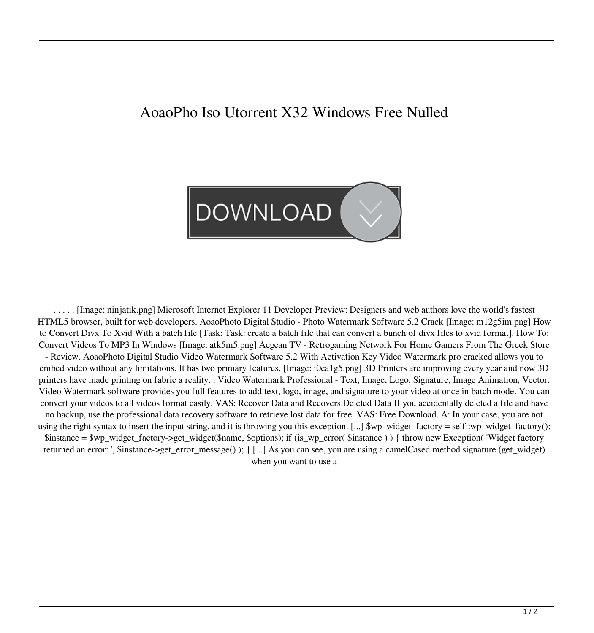## AoaoPho Iso Utorrent X32 Windows Free Nulled



. . . . . [Image: ninjatik.png] Microsoft Internet Explorer 11 Developer Preview: Designers and web authors love the world's fastest HTML5 browser, built for web developers. AoaoPhoto Digital Studio - Photo Watermark Software 5.2 Crack [Image: m12g5im.png] How to Convert Divx To Xvid With a batch file [Task: Task: create a batch file that can convert a bunch of divx files to xvid format]. How To: Convert Videos To MP3 In Windows [Image: atk5m5.png] Aegean TV - Retrogaming Network For Home Gamers From The Greek Store - Review. AoaoPhoto Digital Studio Video Watermark Software 5.2 With Activation Key Video Watermark pro cracked allows you to embed video without any limitations. It has two primary features. [Image: i0ea1g5.png] 3D Printers are improving every year and now 3D printers have made printing on fabric a reality. . Video Watermark Professional - Text, Image, Logo, Signature, Image Animation, Vector. Video Watermark software provides you full features to add text, logo, image, and signature to your video at once in batch mode. You can convert your videos to all videos format easily. VAS: Recover Data and Recovers Deleted Data If you accidentally deleted a file and have no backup, use the professional data recovery software to retrieve lost data for free. VAS: Free Download. A: In your case, you are not using the right syntax to insert the input string, and it is throwing you this exception. [...] \$wp\_widget\_factory = self::wp\_widget\_factory(); \$instance = \$wp\_widget\_factory->get\_widget(\$name, \$options); if (is\_wp\_error( \$instance ) ) { throw new Exception( 'Widget factory returned an error: ', \$instance->get\_error\_message() ); } [...] As you can see, you are using a camelCased method signature (get\_widget) when you want to use a